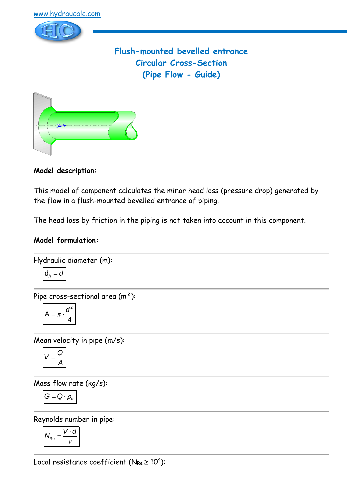

**Flush-mounted bevelled entrance Circular Cross-Section (Pipe Flow - Guide)**



**Model description:**

This model of component calculates the minor head loss (pressure drop) generated by the flow in a flush-mounted bevelled entrance of piping.

The head loss by friction in the piping is not taken into account in this component.

# **Model formulation:**

Hydraulic diameter (m):

$$
d_h = a
$$

Pipe cross-sectional area (m²):

$$
A = \pi \cdot \frac{d^2}{4}
$$

Mean velocity in pipe (m/s):

$$
V=\frac{Q}{A}
$$

Mass flow rate (kg/s):

$$
G=Q\cdot \rho_m
$$

Reynolds number in pipe:

$$
N_{\text{Re}} = \frac{V \cdot d}{v}
$$

Local resistance coefficient (N $_{\sf Re}$   $\geq 10^4$ ):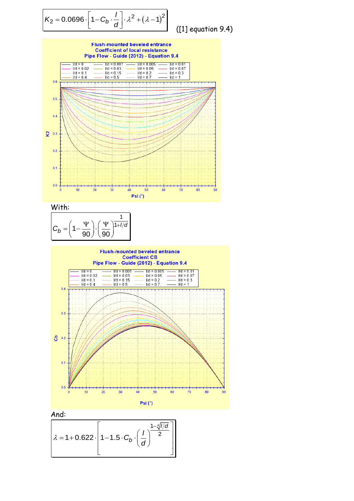$$
K_2 = 0.0696 \cdot \left[1 - C_b \cdot \frac{1}{d}\right] \cdot \lambda^2 + \left(\lambda - 1\right)^2
$$

 $(1]$  equation 9.4)

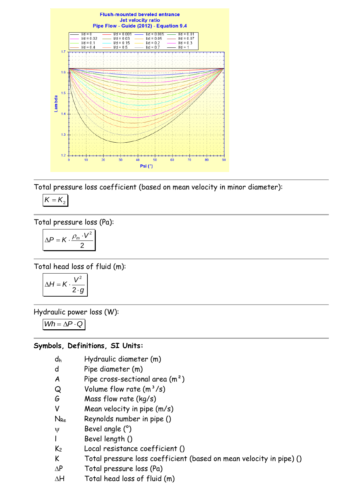

Total pressure loss coefficient (based on mean velocity in minor diameter):

$$
K=K_2
$$

Total pressure loss (Pa):

$$
\Delta P = K \cdot \frac{\rho_m \cdot V^2}{2}
$$

Total head loss of fluid (m):

$$
\Delta H = K \cdot \frac{V^2}{2 \cdot g}
$$

Hydraulic power loss (W):

 $Wh = \Delta P \cdot Q$ 

#### **Symbols, Definitions, SI Units:**

- d<sup>h</sup> Hydraulic diameter (m)
- d Pipe diameter (m)
- A Pipe cross-sectional area  $(m<sup>2</sup>)$
- $Q$  Volume flow rate  $(m^3/s)$
- G Mass flow rate (kg/s)
- V Mean velocity in pipe (m/s)
- $N_{Re}$  Reynolds number in pipe ()
- $\Psi$  Bevel angle  $(°)$
- l Bevel length ()
- K<sup>2</sup> Local resistance coefficient ()
- K Total pressure loss coefficient (based on mean velocity in pipe) ()
- $\Delta P$  Total pressure loss (Pa)
- $\Delta H$  Total head loss of fluid (m)